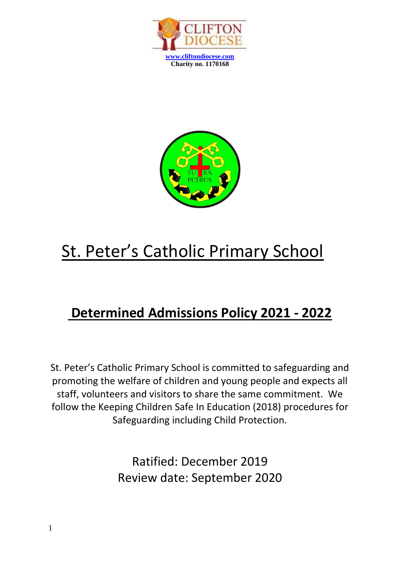



# St. Peter's Catholic Primary School

## **Determined Admissions Policy 2021 - 2022**

St. Peter's Catholic Primary School is committed to safeguarding and promoting the welfare of children and young people and expects all staff, volunteers and visitors to share the same commitment. We follow the Keeping Children Safe In Education (2018) procedures for Safeguarding including Child Protection.

> Ratified: December 2019 Review date: September 2020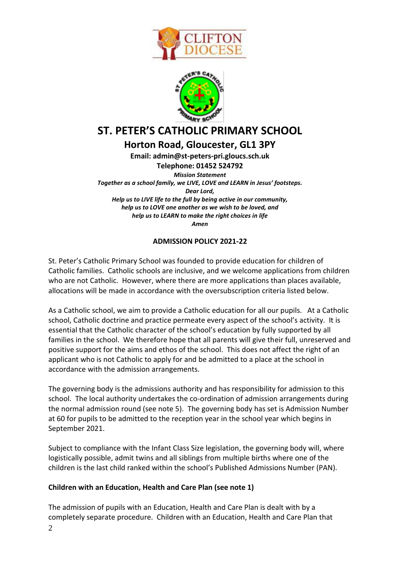



### **ST. PETER'S CATHOLIC PRIMARY SCHOOL**

**Horton Road, Gloucester, GL1 3PY**

**Email: admin@st-peters-pri.gloucs.sch.uk Telephone: 01452 524792** *Mission Statement Together as a school family, we LIVE, LOVE and LEARN in Jesus' footsteps. Dear Lord, Help us to LIVE life to the full by being active in our community, help us to LOVE one another as we wish to be loved, and help us to LEARN to make the right choices in life Amen*

#### **ADMISSION POLICY 2021-22**

St. Peter's Catholic Primary School was founded to provide education for children of Catholic families. Catholic schools are inclusive, and we welcome applications from children who are not Catholic. However, where there are more applications than places available, allocations will be made in accordance with the oversubscription criteria listed below.

As a Catholic school, we aim to provide a Catholic education for all our pupils. At a Catholic school, Catholic doctrine and practice permeate every aspect of the school's activity. It is essential that the Catholic character of the school's education by fully supported by all families in the school. We therefore hope that all parents will give their full, unreserved and positive support for the aims and ethos of the school. This does not affect the right of an applicant who is not Catholic to apply for and be admitted to a place at the school in accordance with the admission arrangements.

The governing body is the admissions authority and has responsibility for admission to this school. The local authority undertakes the co-ordination of admission arrangements during the normal admission round (see note 5). The governing body has set is Admission Number at 60 for pupils to be admitted to the reception year in the school year which begins in September 2021.

Subject to compliance with the Infant Class Size legislation, the governing body will, where logistically possible, admit twins and all siblings from multiple births where one of the children is the last child ranked within the school's Published Admissions Number (PAN).

#### **Children with an Education, Health and Care Plan (see note 1)**

The admission of pupils with an Education, Health and Care Plan is dealt with by a completely separate procedure. Children with an Education, Health and Care Plan that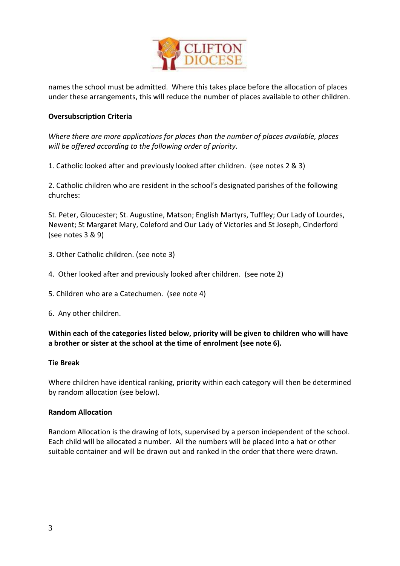

names the school must be admitted. Where this takes place before the allocation of places under these arrangements, this will reduce the number of places available to other children.

#### **Oversubscription Criteria**

*Where there are more applications for places than the number of places available, places will be offered according to the following order of priority.*

1. Catholic looked after and previously looked after children. (see notes 2 & 3)

2. Catholic children who are resident in the school's designated parishes of the following churches:

St. Peter, Gloucester; St. Augustine, Matson; English Martyrs, Tuffley; Our Lady of Lourdes, Newent; St Margaret Mary, Coleford and Our Lady of Victories and St Joseph, Cinderford (see notes 3 & 9)

- 3. Other Catholic children. (see note 3)
- 4. Other looked after and previously looked after children. (see note 2)
- 5. Children who are a Catechumen. (see note 4)
- 6. Any other children.

**Within each of the categories listed below, priority will be given to children who will have a brother or sister at the school at the time of enrolment (see note 6).**

#### **Tie Break**

Where children have identical ranking, priority within each category will then be determined by random allocation (see below).

#### **Random Allocation**

Random Allocation is the drawing of lots, supervised by a person independent of the school. Each child will be allocated a number. All the numbers will be placed into a hat or other suitable container and will be drawn out and ranked in the order that there were drawn.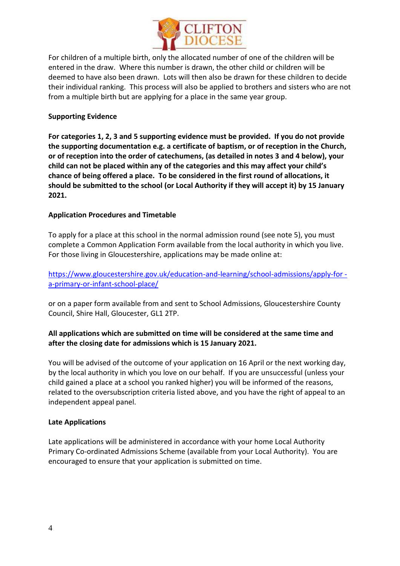

For children of a multiple birth, only the allocated number of one of the children will be entered in the draw. Where this number is drawn, the other child or children will be deemed to have also been drawn. Lots will then also be drawn for these children to decide their individual ranking. This process will also be applied to brothers and sisters who are not from a multiple birth but are applying for a place in the same year group.

#### **Supporting Evidence**

**For categories 1, 2, 3 and 5 supporting evidence must be provided. If you do not provide the supporting documentation e.g. a certificate of baptism, or of reception in the Church, or of reception into the order of catechumens, (as detailed in notes 3 and 4 below), your child can not be placed within any of the categories and this may affect your child's chance of being offered a place. To be considered in the first round of allocations, it should be submitted to the school (or Local Authority if they will accept it) by 15 January 2021.**

#### **Application Procedures and Timetable**

To apply for a place at this school in the normal admission round (see note 5), you must complete a Common Application Form available from the local authority in which you live. For those living in Gloucestershire, applications may be made online at:

[https://www.gloucestershire.gov.uk/education-and-learning/school-admissions/apply-for](https://www.gloucestershire.gov.uk/education-and-learning/school-admissions/apply-for%20-a-primary-or-infant-school-place/)  [a-primary-or-infant-school-place/](https://www.gloucestershire.gov.uk/education-and-learning/school-admissions/apply-for%20-a-primary-or-infant-school-place/)

or on a paper form available from and sent to School Admissions, Gloucestershire County Council, Shire Hall, Gloucester, GL1 2TP.

#### **All applications which are submitted on time will be considered at the same time and after the closing date for admissions which is 15 January 2021.**

You will be advised of the outcome of your application on 16 April or the next working day, by the local authority in which you love on our behalf. If you are unsuccessful (unless your child gained a place at a school you ranked higher) you will be informed of the reasons, related to the oversubscription criteria listed above, and you have the right of appeal to an independent appeal panel.

#### **Late Applications**

Late applications will be administered in accordance with your home Local Authority Primary Co-ordinated Admissions Scheme (available from your Local Authority). You are encouraged to ensure that your application is submitted on time.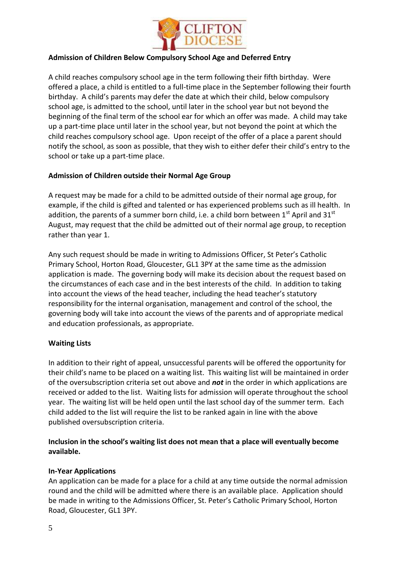

#### **Admission of Children Below Compulsory School Age and Deferred Entry**

A child reaches compulsory school age in the term following their fifth birthday. Were offered a place, a child is entitled to a full-time place in the September following their fourth birthday. A child's parents may defer the date at which their child, below compulsory school age, is admitted to the school, until later in the school year but not beyond the beginning of the final term of the school ear for which an offer was made. A child may take up a part-time place until later in the school year, but not beyond the point at which the child reaches compulsory school age. Upon receipt of the offer of a place a parent should notify the school, as soon as possible, that they wish to either defer their child's entry to the school or take up a part-time place.

#### **Admission of Children outside their Normal Age Group**

A request may be made for a child to be admitted outside of their normal age group, for example, if the child is gifted and talented or has experienced problems such as ill health. In addition, the parents of a summer born child, i.e. a child born between  $1<sup>st</sup>$  April and  $31<sup>st</sup>$ August, may request that the child be admitted out of their normal age group, to reception rather than year 1.

Any such request should be made in writing to Admissions Officer, St Peter's Catholic Primary School, Horton Road, Gloucester, GL1 3PY at the same time as the admission application is made. The governing body will make its decision about the request based on the circumstances of each case and in the best interests of the child. In addition to taking into account the views of the head teacher, including the head teacher's statutory responsibility for the internal organisation, management and control of the school, the governing body will take into account the views of the parents and of appropriate medical and education professionals, as appropriate.

#### **Waiting Lists**

In addition to their right of appeal, unsuccessful parents will be offered the opportunity for their child's name to be placed on a waiting list. This waiting list will be maintained in order of the oversubscription criteria set out above and *not* in the order in which applications are received or added to the list. Waiting lists for admission will operate throughout the school year. The waiting list will be held open until the last school day of the summer term. Each child added to the list will require the list to be ranked again in line with the above published oversubscription criteria.

#### **Inclusion in the school's waiting list does not mean that a place will eventually become available.**

#### **In-Year Applications**

An application can be made for a place for a child at any time outside the normal admission round and the child will be admitted where there is an available place. Application should be made in writing to the Admissions Officer, St. Peter's Catholic Primary School, Horton Road, Gloucester, GL1 3PY.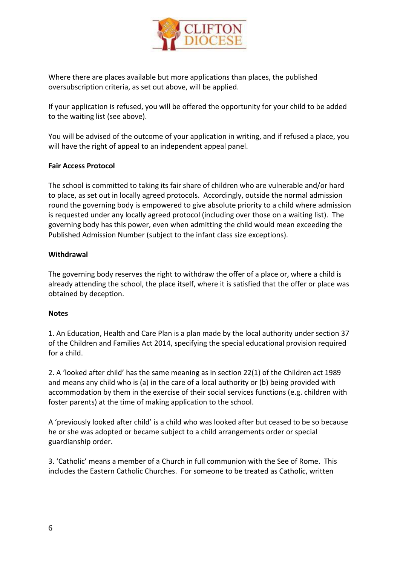

Where there are places available but more applications than places, the published oversubscription criteria, as set out above, will be applied.

If your application is refused, you will be offered the opportunity for your child to be added to the waiting list (see above).

You will be advised of the outcome of your application in writing, and if refused a place, you will have the right of appeal to an independent appeal panel.

#### **Fair Access Protocol**

The school is committed to taking its fair share of children who are vulnerable and/or hard to place, as set out in locally agreed protocols. Accordingly, outside the normal admission round the governing body is empowered to give absolute priority to a child where admission is requested under any locally agreed protocol (including over those on a waiting list). The governing body has this power, even when admitting the child would mean exceeding the Published Admission Number (subject to the infant class size exceptions).

#### **Withdrawal**

The governing body reserves the right to withdraw the offer of a place or, where a child is already attending the school, the place itself, where it is satisfied that the offer or place was obtained by deception.

#### **Notes**

1. An Education, Health and Care Plan is a plan made by the local authority under section 37 of the Children and Families Act 2014, specifying the special educational provision required for a child.

2. A 'looked after child' has the same meaning as in section 22(1) of the Children act 1989 and means any child who is (a) in the care of a local authority or (b) being provided with accommodation by them in the exercise of their social services functions (e.g. children with foster parents) at the time of making application to the school.

A 'previously looked after child' is a child who was looked after but ceased to be so because he or she was adopted or became subject to a child arrangements order or special guardianship order.

3. 'Catholic' means a member of a Church in full communion with the See of Rome. This includes the Eastern Catholic Churches. For someone to be treated as Catholic, written